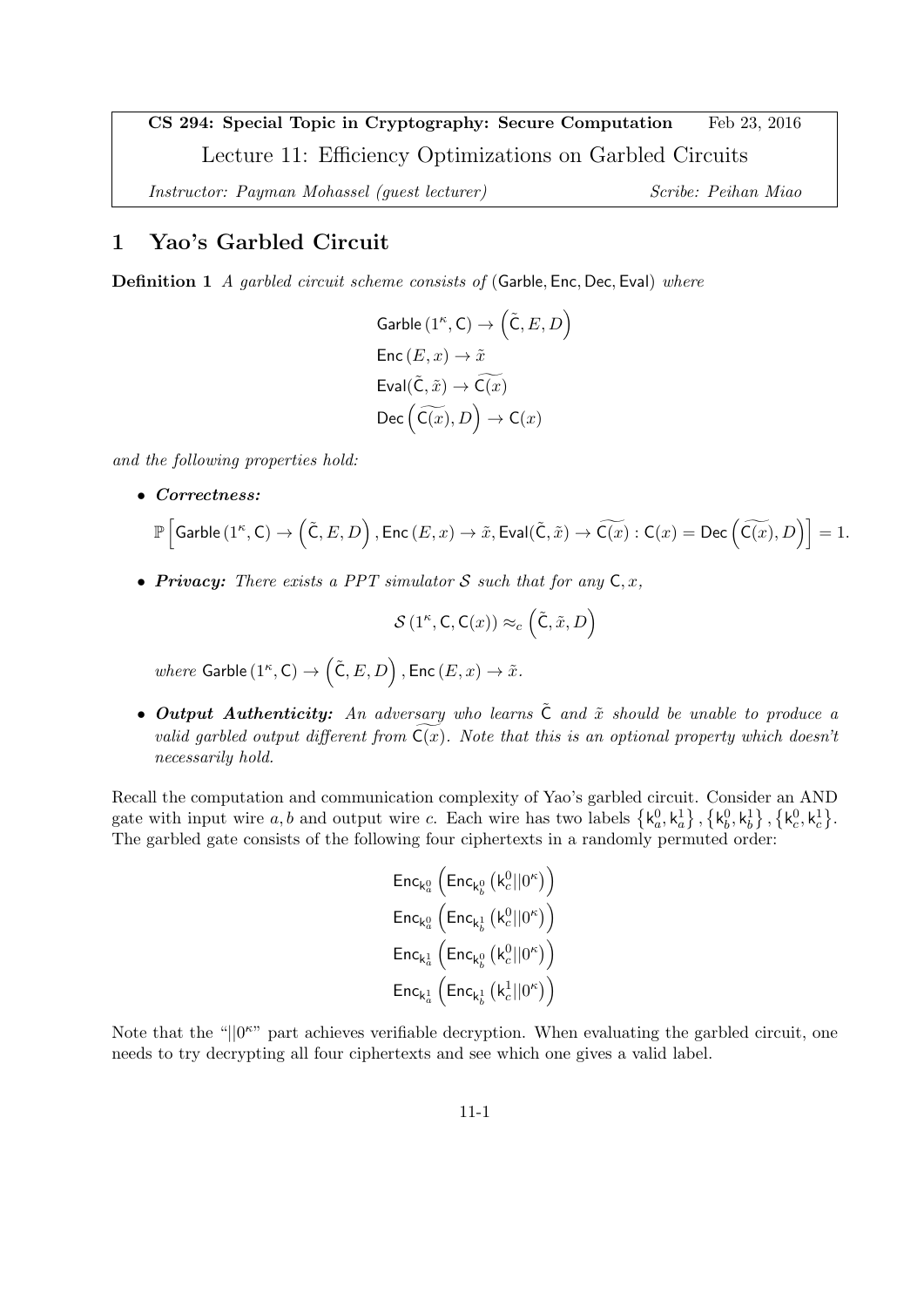CS 294: Special Topic in Cryptography: Secure Computation Feb 23, 2016 Lecture 11: Efficiency Optimizations on Garbled Circuits

Instructor: Payman Mohassel (guest lecturer) Scribe: Peihan Miao

# 1 Yao's Garbled Circuit

**Definition 1** A garbled circuit scheme consists of (Garble, Enc, Dec, Eval) where

```
Garble (1^{\kappa}, \mathsf{C}) \to \big( \tilde{\mathsf{C}}, E, D \big)Enc (E, x) \rightarrow \tilde{x}Eval(\tilde{C}, \tilde{x}) \rightarrow \widetilde{C(x)}Dec \left(\widetilde{\mathsf{C}(x)}, D\right) \to \mathsf{C}(x)
```
and the following properties hold:

• Correctness:

$$
\mathbb{P}\left[\mathsf{Garble}\left(1^\kappa, \mathsf{C}\right) \to \left(\tilde{\mathsf{C}}, E, D\right), \mathsf{Enc}\left(E, x\right) \to \tilde{x}, \mathsf{Eval}(\tilde{\mathsf{C}}, \tilde{x}) \to \widetilde{\mathsf{C}(x)} : \mathsf{C}(x) = \mathsf{Dec}\left(\widetilde{\mathsf{C}(x)}, D\right)\right] = 1.
$$

• Privacy: There exists a PPT simulator S such that for any  $C, x$ ,

$$
\mathcal{S}\left(1^{\kappa},\mathsf{C},\mathsf{C}(x)\right)\approx_c\left(\tilde{\mathsf{C}},\tilde{x},D\right)
$$

where Garble  $(1^{\kappa}, \mathsf{C}) \to \big( \tilde{\mathsf{C}}, E, D \big)$  ,  $\mathsf{Enc}\,(E, x) \to \tilde{x}$ .

• Output Authenticity: An adversary who learns  $\tilde{C}$  and  $\tilde{x}$  should be unable to produce a valid garbled output different from  $C(x)$ . Note that this is an optional property which doesn't necessarily hold.

Recall the computation and communication complexity of Yao's garbled circuit. Consider an AND gate with input wire a, b and output wire c. Each wire has two labels  $\{k_a^0, k_a^1\}, \{k_b^0, k_b^1\}, \{k_c^0, k_c^1\}$ . The garbled gate consists of the following four ciphertexts in a randomly permuted order:

> $\mathsf{Enc}_{\mathsf{k}_{a}^{0}}\left(\mathsf{Enc}_{\mathsf{k}_{b}^{0}}\left(\mathsf{k}_{c}^{0}||0^{\kappa}\right)\right)$  $\mathsf{Enc}_{\mathsf{k}_a^0}\left(\mathsf{Enc}_{\mathsf{k}_b^1}\left(\mathsf{k}_c^0||0^\kappa\right)\right)$  $\mathsf{Enc}_{\mathsf{k}_a^1}\left(\mathsf{Enc}_{\mathsf{k}_b^0}\left(\mathsf{k}_c^0||0^\kappa\right)\right)$  $\mathsf{Enc}_{\mathsf{k}_a^1}\left(\mathsf{Enc}_{\mathsf{k}_b^1}\left(\mathsf{k}_c^1 || 0^\kappa\right)\right)$

Note that the " $||0^{\kappa}$ " part achieves verifiable decryption. When evaluating the garbled circuit, one needs to try decrypting all four ciphertexts and see which one gives a valid label.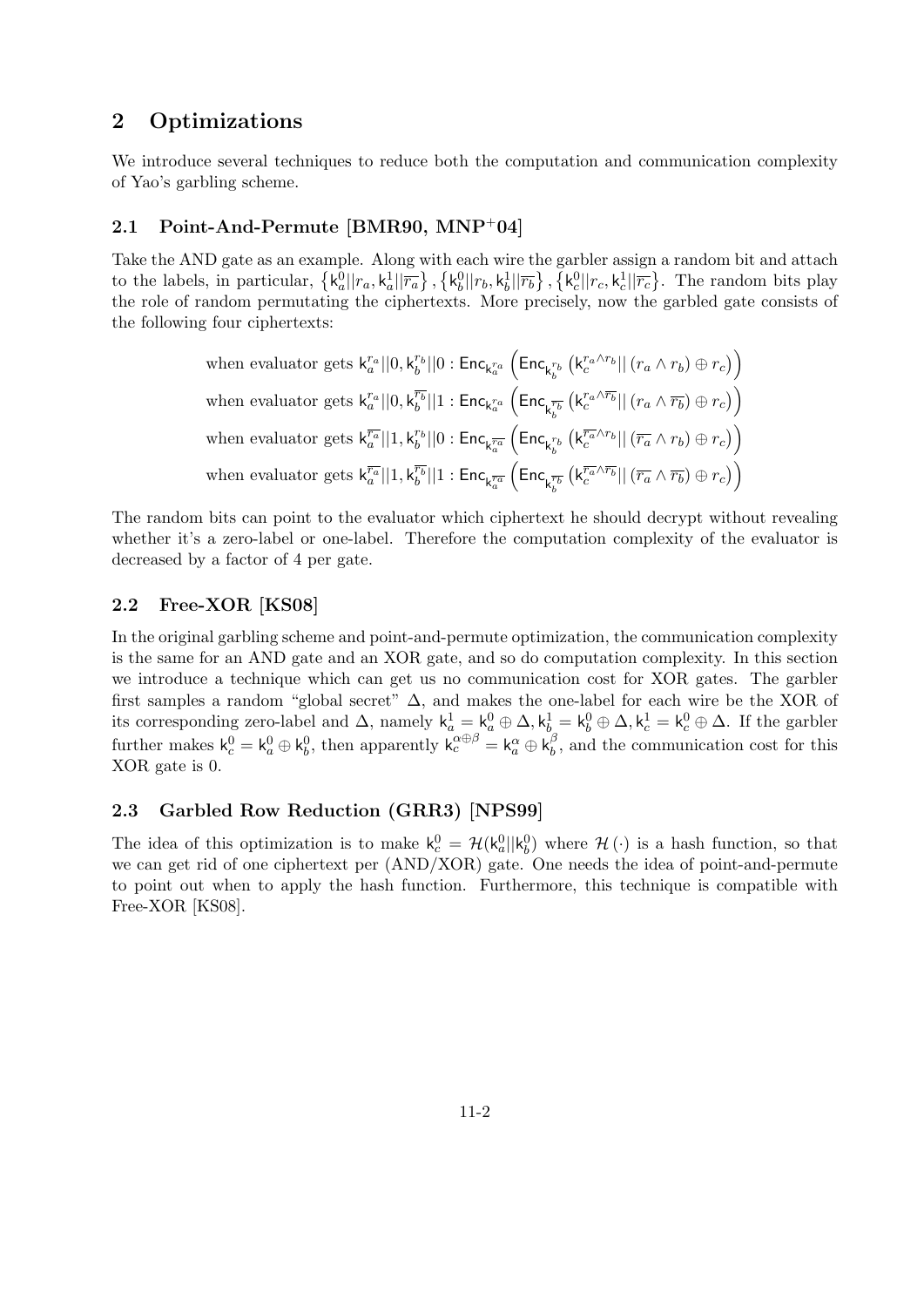# 2 Optimizations

We introduce several techniques to reduce both the computation and communication complexity of Yao's garbling scheme.

# 2.1 Point-And-Permute [BMR90, MNP<sup>+</sup>04]

Take the AND gate as an example. Along with each wire the garbler assign a random bit and attach to the labels, in particular,  $\{k_a^0||r_a, k_a^1||\overline{r_a}\}, \{k_b^0||r_b, k_b^1||\overline{r_b}\}, \{k_c^0||r_c, k_c^1||\overline{r_c}\}.$  The random bits play the role of random permutating the ciphertexts. More precisely, now the garbled gate consists of the following four ciphertexts:

when evaluator gets 
$$
k_a^{r_a}||0, k_b^{r_b}||0: \text{Enc}_{k_a^{r_a}} \left(\text{Enc}_{k_b^{r_b}} \left(k_c^{r_a \wedge r_b}|| (r_a \wedge r_b) \oplus r_c) \right)
$$
  
when evaluator gets  $k_a^{r_a}||0, k_b^{\overline{r_b}}||1: \text{Enc}_{k_a^{r_a}} \left(\text{Enc}_{k_b^{\overline{r_b}}} \left(k_c^{r_a \wedge \overline{r_b}}|| (r_a \wedge \overline{r_b}) \oplus r_c) \right)$   
when evaluator gets  $k_a^{\overline{r_a}}||1, k_b^{r_b}||0: \text{Enc}_{k_a^{\overline{r_a}}} \left(\text{Enc}_{k_b^{\overline{r_b}}} \left(k_c^{\overline{r_a} \wedge r_b}|| (\overline{r_a} \wedge r_b) \oplus r_c) \right) \right)$   
when evaluator gets  $k_a^{\overline{r_a}}||1, k_b^{\overline{r_b}}||1: \text{Enc}_{k_a^{\overline{r_a}}} \left(\text{Enc}_{k_b^{\overline{r_b}}} \left(k_c^{\overline{r_a} \wedge \overline{r_b}}|| (\overline{r_a} \wedge \overline{r_b}) \oplus r_c) \right) \right)$ 

The random bits can point to the evaluator which ciphertext he should decrypt without revealing whether it's a zero-label or one-label. Therefore the computation complexity of the evaluator is decreased by a factor of 4 per gate.

## 2.2 Free-XOR [KS08]

In the original garbling scheme and point-and-permute optimization, the communication complexity is the same for an AND gate and an XOR gate, and so do computation complexity. In this section we introduce a technique which can get us no communication cost for XOR gates. The garbler first samples a random "global secret"  $\Delta$ , and makes the one-label for each wire be the XOR of its corresponding zero-label and  $\Delta$ , namely  $k_a^1 = k_a^0 \oplus \Delta$ ,  $k_b^1 = k_b^0 \oplus \Delta$ ,  $k_c^1 = k_c^0 \oplus \Delta$ . If the garbler further makes  $\mathsf{k}_c^0 = \mathsf{k}_a^0 \oplus \mathsf{k}_b^0$ , then apparently  $\mathsf{k}_c^{\alpha \oplus \beta} = \mathsf{k}_a^{\alpha} \oplus \mathsf{k}_b^{\beta}$  $\beta$ , and the communication cost for this XOR gate is 0.

### 2.3 Garbled Row Reduction (GRR3) [NPS99]

The idea of this optimization is to make  $k_c^0 = H(k_a^0||k_b^0)$  where  $H(\cdot)$  is a hash function, so that we can get rid of one ciphertext per (AND/XOR) gate. One needs the idea of point-and-permute to point out when to apply the hash function. Furthermore, this technique is compatible with Free-XOR [KS08].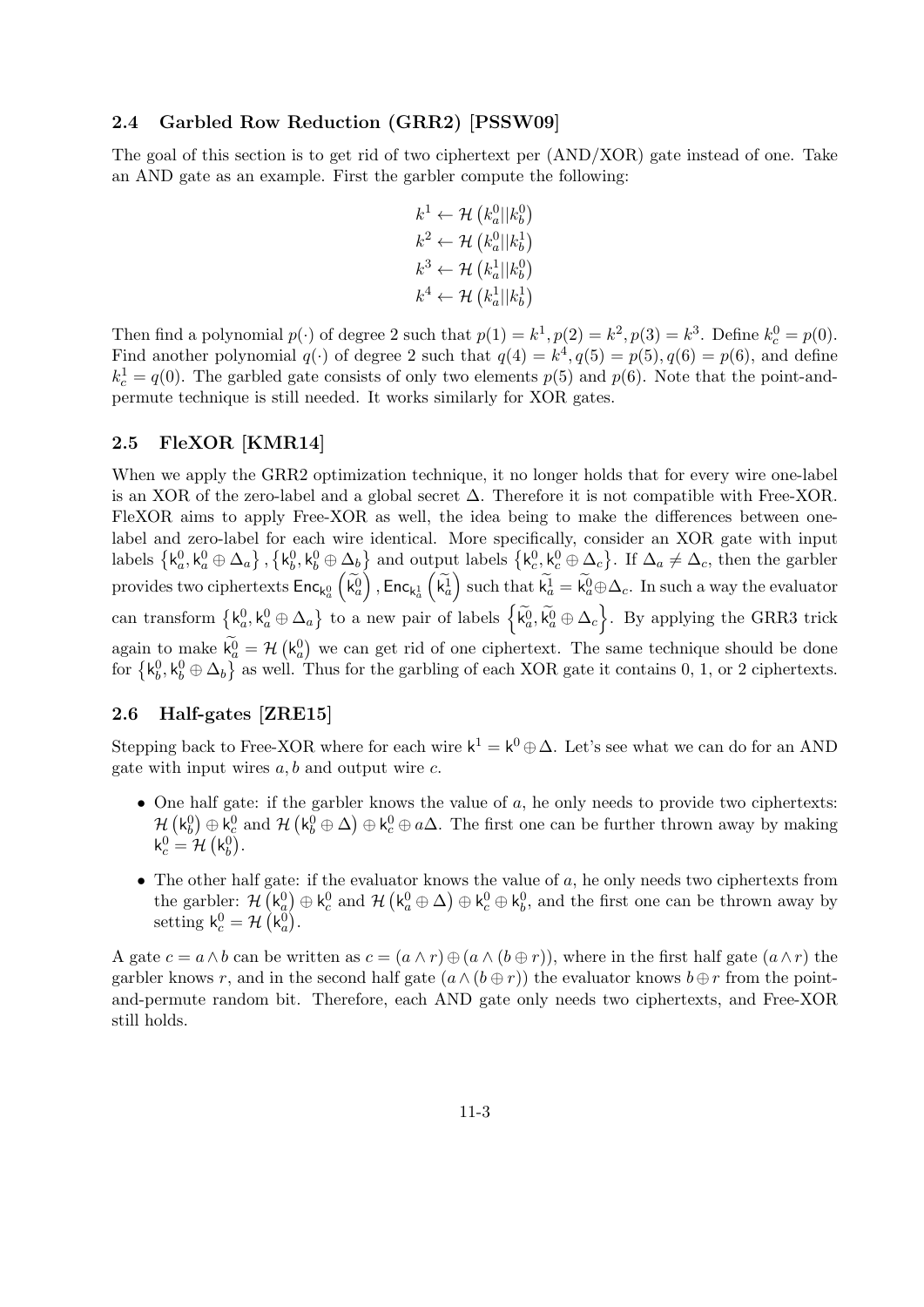#### 2.4 Garbled Row Reduction (GRR2) [PSSW09]

The goal of this section is to get rid of two ciphertext per (AND/XOR) gate instead of one. Take an AND gate as an example. First the garbler compute the following:

$$
k^1 \leftarrow \mathcal{H} \left( k_a^0 || k_b^0 \right)
$$
  
\n
$$
k^2 \leftarrow \mathcal{H} \left( k_a^0 || k_b^1 \right)
$$
  
\n
$$
k^3 \leftarrow \mathcal{H} \left( k_a^1 || k_b^0 \right)
$$
  
\n
$$
k^4 \leftarrow \mathcal{H} \left( k_a^1 || k_b^1 \right)
$$

Then find a polynomial  $p(\cdot)$  of degree 2 such that  $p(1) = k^1, p(2) = k^2, p(3) = k^3$ . Define  $k_c^0 = p(0)$ . Find another polynomial  $q(\cdot)$  of degree 2 such that  $q(4) = k^4, q(5) = p(5), q(6) = p(6)$ , and define  $k_c^1 = q(0)$ . The garbled gate consists of only two elements  $p(5)$  and  $p(6)$ . Note that the point-andpermute technique is still needed. It works similarly for XOR gates.

### 2.5 FleXOR [KMR14]

When we apply the GRR2 optimization technique, it no longer holds that for every wire one-label is an XOR of the zero-label and a global secret  $\Delta$ . Therefore it is not compatible with Free-XOR. FleXOR aims to apply Free-XOR as well, the idea being to make the differences between onelabel and zero-label for each wire identical. More specifically, consider an XOR gate with input labels  $\{\mathsf k_a^0, \mathsf k_a^0 \oplus \Delta_a\}$ ,  $\{\mathsf k_b^0, \mathsf k_b^0 \oplus \Delta_b\}$  and output labels  $\{\mathsf k_c^0, \mathsf k_c^0 \oplus \Delta_c\}$ . If  $\Delta_a \neq \Delta_c$ , then the garbler provides two ciphertexts  $\mathsf{Enc}_{\mathsf{k}_a^0}\left(\widetilde{\mathsf{k}_a^0}\right)$ ,  $\mathsf{Enc}_{\mathsf{k}_a^1}\left(\widetilde{\mathsf{k}_a^1}\right)$  such that  $\widetilde{\mathsf{k}_a^1} = \widetilde{\mathsf{k}_a^0} \oplus \Delta_c$ . In such a way the evaluator can transform  $\{k_a^0, k_a^0 \oplus \Delta_a\}$  to a new pair of labels  $\{\tilde{k}_a^0, \tilde{k}_a^0 \oplus \Delta_c\}$ . By applying the GRR3 trick again to make  $k_a^0 = H(k_a^0)$  we can get rid of one ciphertext. The same technique should be done for  $\{k_b^0, k_b^0 \oplus \Delta_b\}$  as well. Thus for the garbling of each XOR gate it contains 0, 1, or 2 ciphertexts.

### 2.6 Half-gates [ZRE15]

Stepping back to Free-XOR where for each wire  $k^1 = k^0 \oplus \Delta$ . Let's see what we can do for an AND gate with input wires  $a, b$  and output wire  $c$ .

- One half gate: if the garbler knows the value of  $a$ , he only needs to provide two ciphertexts:  $\mathcal{H}(\mathsf{k}_{b}^{0})\oplus\mathsf{k}_{c}^{0}$  and  $\mathcal{H}(\mathsf{k}_{b}^{0}\oplus\Delta)\oplus\mathsf{k}_{c}^{0}\oplus a\Delta$ . The first one can be further thrown away by making  $\mathsf{k}_{c}^{0}=\mathcal{H}\left( \mathsf{k}_{b}^{0}\right) .$
- The other half gate: if the evaluator knows the value of  $a$ , he only needs two ciphertexts from the garbler:  $\mathcal{H}(\mathsf{k}_a^0) \oplus \mathsf{k}_c^0$  and  $\mathcal{H}(\mathsf{k}_a^0 \oplus \Delta) \oplus \mathsf{k}_c^0 \oplus \mathsf{k}_b^0$ , and the first one can be thrown away by setting  $k_c^0 = \mathcal{H}(\mathsf{k}_a^0)$ .

A gate  $c = a \wedge b$  can be written as  $c = (a \wedge r) \oplus (a \wedge (b \oplus r))$ , where in the first half gate  $(a \wedge r)$  the garbler knows r, and in the second half gate  $(a \wedge (b \oplus r))$  the evaluator knows  $b \oplus r$  from the pointand-permute random bit. Therefore, each AND gate only needs two ciphertexts, and Free-XOR still holds.